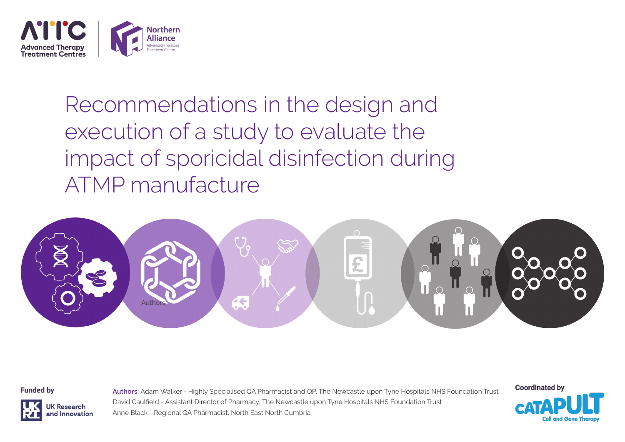

Recommendations in the design and execution of a study to evaluate the impact of sporicidal disinfection during ATMP manufacture



**Funded by** 



**Authors:** Adam Walker - Highly Specialised QA Pharmacist and QP, The Newcastle upon Tyne Hospitals NHS Foundation Trust David Caulfield - Assistant Director of Pharmacy, The Newcastle upon Tyne Hospitals NHS Foundation Trust Anne Black - Regional QA Pharmacist, North East North Cumbria

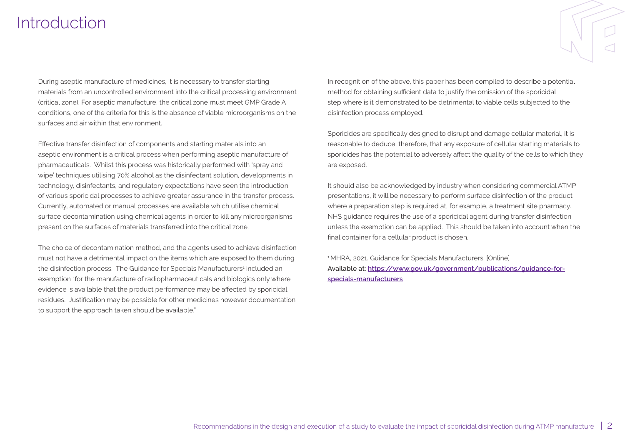## **Introduction**

During aseptic manufacture of medicines, it is necessary to transfer starting materials from an uncontrolled environment into the critical processing environment (critical zone). For aseptic manufacture, the critical zone must meet GMP Grade A conditions, one of the criteria for this is the absence of viable microorganisms on the surfaces and air within that environment.

Effective transfer disinfection of components and starting materials into an aseptic environment is a critical process when performing aseptic manufacture of pharmaceuticals. Whilst this process was historically performed with 'spray and wipe' techniques utilising 70% alcohol as the disinfectant solution, developments in technology, disinfectants, and regulatory expectations have seen the introduction of various sporicidal processes to achieve greater assurance in the transfer process. Currently, automated or manual processes are available which utilise chemical surface decontamination using chemical agents in order to kill any microorganisms present on the surfaces of materials transferred into the critical zone.

The choice of decontamination method, and the agents used to achieve disinfection must not have a detrimental impact on the items which are exposed to them during the disinfection process. The Guidance for Specials Manufacturers<sup>1</sup> included an exemption "for the manufacture of radiopharmaceuticals and biologics only where evidence is available that the product performance may be affected by sporicidal residues. Justification may be possible for other medicines however documentation to support the approach taken should be available."

In recognition of the above, this paper has been compiled to describe a potential method for obtaining sufficient data to justify the omission of the sporicidal step where is it demonstrated to be detrimental to viable cells subjected to the disinfection process employed.

Sporicides are specifically designed to disrupt and damage cellular material, it is reasonable to deduce, therefore, that any exposure of cellular starting materials to sporicides has the potential to adversely affect the quality of the cells to which they are exposed.

It should also be acknowledged by industry when considering commercial ATMP presentations, it will be necessary to perform surface disinfection of the product where a preparation step is required at, for example, a treatment site pharmacy. NHS guidance requires the use of a sporicidal agent during transfer disinfection unless the exemption can be applied. This should be taken into account when the final container for a cellular product is chosen.

<sup>1</sup> MHRA, 2021. Guidance for Specials Manufacturers. [Online] **Available at: [https://www.gov.uk/government/publications/guidance-for](https://www.gov.uk/government/publications/guidance-for-specials-manufacturers)[specials-manufacturers](https://www.gov.uk/government/publications/guidance-for-specials-manufacturers)**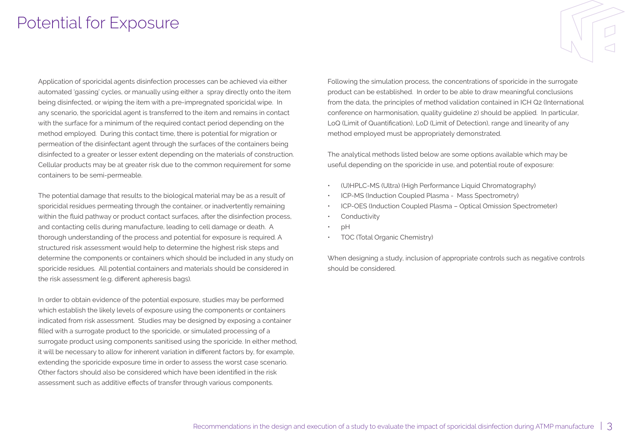## Potential for Exposure

Application of sporicidal agents disinfection processes can be achieved via either automated 'gassing' cycles, or manually using either a spray directly onto the item being disinfected, or wiping the item with a pre-impregnated sporicidal wipe. In any scenario, the sporicidal agent is transferred to the item and remains in contact with the surface for a minimum of the required contact period depending on the method employed. During this contact time, there is potential for migration or permeation of the disinfectant agent through the surfaces of the containers being disinfected to a greater or lesser extent depending on the materials of construction. Cellular products may be at greater risk due to the common requirement for some containers to be semi-permeable.

The potential damage that results to the biological material may be as a result of sporicidal residues permeating through the container, or inadvertently remaining within the fluid pathway or product contact surfaces, after the disinfection process, and contacting cells during manufacture, leading to cell damage or death. A thorough understanding of the process and potential for exposure is required. A structured risk assessment would help to determine the highest risk steps and determine the components or containers which should be included in any study on sporicide residues. All potential containers and materials should be considered in the risk assessment (e.g. different apheresis bags).

In order to obtain evidence of the potential exposure, studies may be performed which establish the likely levels of exposure using the components or containers indicated from risk assessment. Studies may be designed by exposing a container filled with a surrogate product to the sporicide, or simulated processing of a surrogate product using components sanitised using the sporicide. In either method, it will be necessary to allow for inherent variation in different factors by, for example, extending the sporicide exposure time in order to assess the worst case scenario. Other factors should also be considered which have been identified in the risk assessment such as additive effects of transfer through various components.

Following the simulation process, the concentrations of sporicide in the surrogate product can be established. In order to be able to draw meaningful conclusions from the data, the principles of method validation contained in ICH Q2 (International conference on harmonisation, quality guideline 2) should be applied. In particular, LoQ (Limit of Quantification), LoD (Limit of Detection), range and linearity of any method employed must be appropriately demonstrated.

The analytical methods listed below are some options available which may be useful depending on the sporicide in use, and potential route of exposure:

- (U)HPLC-MS (Ultra) (High Performance Liquid Chromatography)
- ICP-MS (Induction Coupled Plasma Mass Spectrometry)
- ICP-OES (Induction Coupled Plasma Optical Omission Spectrometer)
- **Conductivity**
- pH
- TOC (Total Organic Chemistry)

When designing a study, inclusion of appropriate controls such as negative controls should be considered.